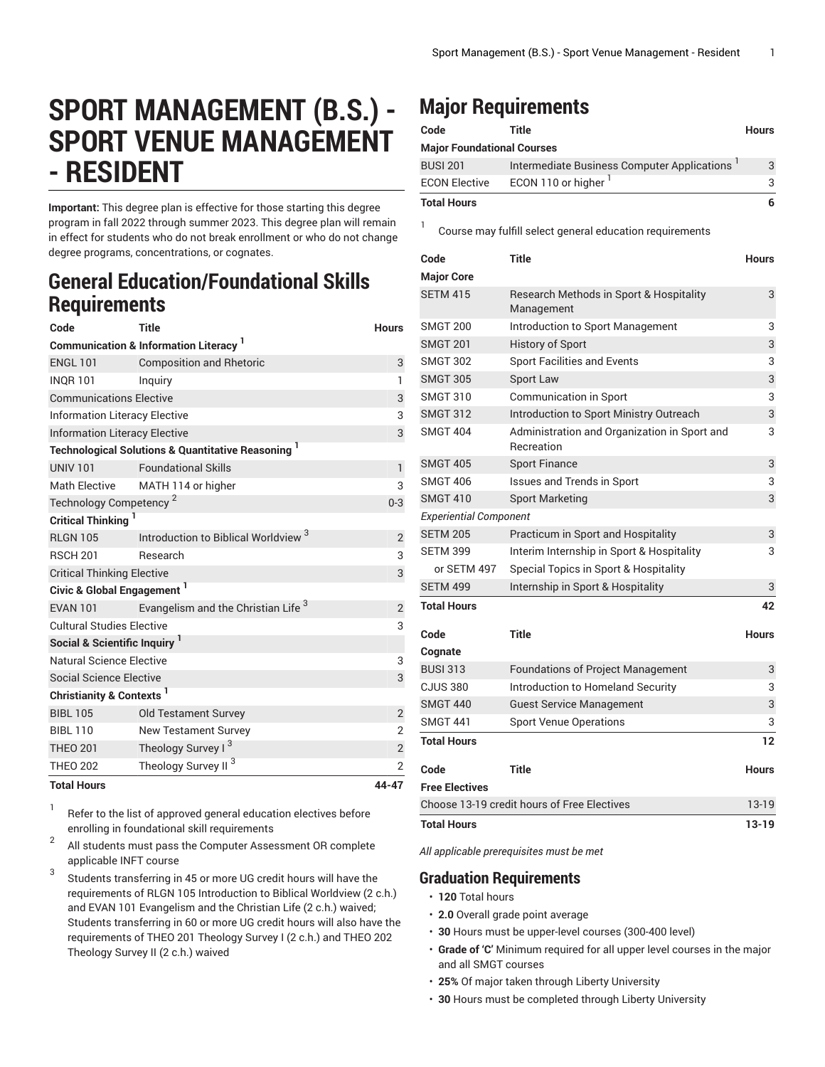# **SPORT MANAGEMENT (B.S.) - SPORT VENUE MANAGEMENT - RESIDENT**

**Important:** This degree plan is effective for those starting this degree program in fall 2022 through summer 2023. This degree plan will remain in effect for students who do not break enrollment or who do not change degree programs, concentrations, or cognates.

### **General Education/Foundational Skills Requirements**

| Code                                                         | <b>Title</b>                                    | <b>Hours</b>   |  |  |
|--------------------------------------------------------------|-------------------------------------------------|----------------|--|--|
| <b>Communication &amp; Information Literacy</b> <sup>1</sup> |                                                 |                |  |  |
| <b>ENGL 101</b>                                              | <b>Composition and Rhetoric</b>                 | 3              |  |  |
| <b>INQR101</b>                                               | Inquiry                                         | $\mathbf{1}$   |  |  |
| <b>Communications Elective</b>                               | 3                                               |                |  |  |
| <b>Information Literacy Elective</b>                         | 3                                               |                |  |  |
| <b>Information Literacy Elective</b>                         | 3                                               |                |  |  |
| <b>Technological Solutions &amp; Quantitative Reasoning</b>  |                                                 |                |  |  |
| <b>UNIV 101</b>                                              | <b>Foundational Skills</b>                      | 1              |  |  |
| <b>Math Elective</b>                                         | MATH 114 or higher                              | 3              |  |  |
| Technology Competency <sup>2</sup>                           | $0 - 3$                                         |                |  |  |
| <b>Critical Thinking</b>                                     |                                                 |                |  |  |
| <b>RLGN 105</b>                                              | Introduction to Biblical Worldview <sup>3</sup> | 2              |  |  |
| <b>RSCH 201</b>                                              | Research                                        | 3              |  |  |
| <b>Critical Thinking Elective</b>                            | 3                                               |                |  |  |
| Civic & Global Engagement <sup>1</sup>                       |                                                 |                |  |  |
| <b>EVAN 101</b>                                              | Evangelism and the Christian Life <sup>3</sup>  | $\overline{2}$ |  |  |
| <b>Cultural Studies Elective</b>                             | 3                                               |                |  |  |
| Social & Scientific Inquiry <sup>1</sup>                     |                                                 |                |  |  |
| Natural Science Elective                                     | 3                                               |                |  |  |
| Social Science Elective                                      | 3                                               |                |  |  |
| Christianity & Contexts <sup>1</sup>                         |                                                 |                |  |  |
| <b>BIBL 105</b>                                              | <b>Old Testament Survey</b>                     | $\overline{2}$ |  |  |
| <b>BIBL 110</b>                                              | <b>New Testament Survey</b>                     | $\overline{2}$ |  |  |
| <b>THEO 201</b>                                              | Theology Survey I <sup>3</sup>                  | $\overline{2}$ |  |  |
| <b>THEO 202</b>                                              | Theology Survey II <sup>3</sup>                 | $\overline{2}$ |  |  |
| <b>Total Hours</b>                                           |                                                 | 44-47          |  |  |

1 Refer to the list of approved general [education](https://www.liberty.edu/gened/) electives before enrolling in foundational skill requirements

2 All students must pass the [Computer Assessment](https://www.liberty.edu/computerassessment/) OR complete applicable INFT course

3 Students transferring in 45 or more UG credit hours will have the requirements of RLGN 105 Introduction to Biblical Worldview (2 c.h.) and EVAN 101 Evangelism and the Christian Life (2 c.h.) waived; Students transferring in 60 or more UG credit hours will also have the requirements of THEO 201 Theology Survey I (2 c.h.) and THEO 202 Theology Survey II (2 c.h.) waived

## **Major Requirements**

1

| Code                              | Title                                       | <b>Hours</b> |
|-----------------------------------|---------------------------------------------|--------------|
| <b>Major Foundational Courses</b> |                                             |              |
| <b>BUSI 201</b>                   | Intermediate Business Computer Applications | 3            |
| <b>ECON Elective</b>              | ECON 110 or higher <sup>1</sup>             | 3            |
| <b>Total Hours</b>                |                                             | 6            |

Course may fulfill select general education [requirements](http://www.liberty.edu/academics/generalstudies/?PID=37563)

| Code                                        | <b>Title</b>                                               | <b>Hours</b> |
|---------------------------------------------|------------------------------------------------------------|--------------|
| <b>Major Core</b>                           |                                                            |              |
| <b>SETM 415</b>                             | Research Methods in Sport & Hospitality<br>Management      | 3            |
| <b>SMGT 200</b>                             | Introduction to Sport Management                           | 3            |
| <b>SMGT 201</b>                             | <b>History of Sport</b>                                    | 3            |
| <b>SMGT 302</b>                             | <b>Sport Facilities and Events</b>                         | 3            |
| <b>SMGT 305</b>                             | Sport Law                                                  | 3            |
| <b>SMGT 310</b>                             | <b>Communication in Sport</b>                              | 3            |
| <b>SMGT 312</b>                             | Introduction to Sport Ministry Outreach                    | 3            |
| <b>SMGT 404</b>                             | Administration and Organization in Sport and<br>Recreation | 3            |
| <b>SMGT 405</b>                             | <b>Sport Finance</b>                                       | 3            |
| <b>SMGT 406</b>                             | Issues and Trends in Sport                                 | 3            |
| <b>SMGT 410</b>                             | <b>Sport Marketing</b>                                     | 3            |
| <b>Experiential Component</b>               |                                                            |              |
| <b>SETM 205</b>                             | Practicum in Sport and Hospitality                         | 3            |
| <b>SETM 399</b>                             | Interim Internship in Sport & Hospitality                  | 3            |
| or SETM 497                                 | Special Topics in Sport & Hospitality                      |              |
| <b>SETM 499</b>                             | Internship in Sport & Hospitality                          | 3            |
| <b>Total Hours</b>                          |                                                            | 42           |
| Code                                        | <b>Title</b>                                               | Hours        |
| Cognate                                     |                                                            |              |
| <b>BUSI 313</b>                             | <b>Foundations of Project Management</b>                   | 3            |
| <b>CJUS 380</b>                             | Introduction to Homeland Security                          | 3            |
| <b>SMGT 440</b>                             | <b>Guest Service Management</b>                            | 3            |
| <b>SMGT 441</b>                             | <b>Sport Venue Operations</b>                              | 3            |
| <b>Total Hours</b>                          |                                                            | 12           |
| Code                                        | Title                                                      | <b>Hours</b> |
| <b>Free Electives</b>                       |                                                            |              |
| Choose 13-19 credit hours of Free Electives |                                                            | 13-19        |
| <b>Total Hours</b>                          |                                                            | 13-19        |

*All applicable prerequisites must be met*

### **Graduation Requirements**

- **120** Total hours
- **2.0** Overall grade point average
- **30** Hours must be upper-level courses (300-400 level)
- **Grade of 'C'** Minimum required for all upper level courses in the major and all SMGT courses
- **25%** Of major taken through Liberty University
- **30** Hours must be completed through Liberty University